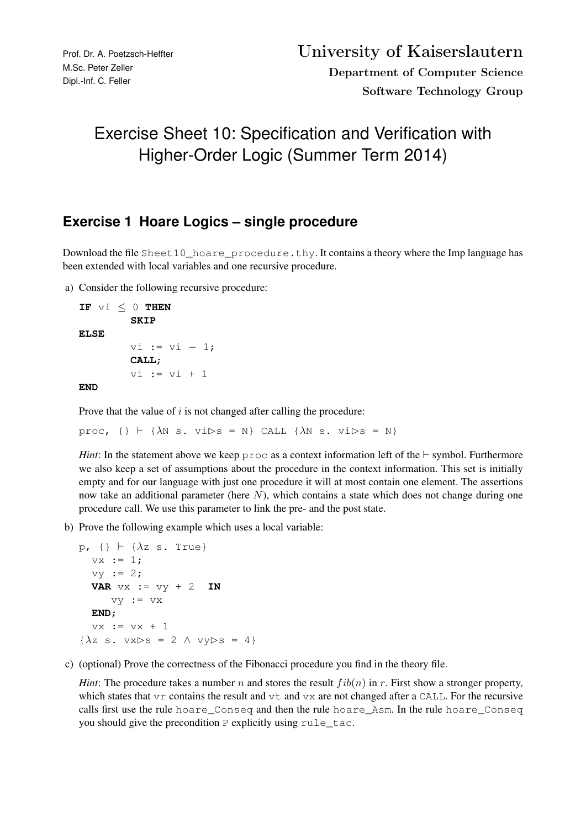## Exercise Sheet 10: Specification and Verification with Higher-Order Logic (Summer Term 2014)

## **Exercise 1 Hoare Logics – single procedure**

Download the file Sheet10\_hoare\_procedure.thy. It contains a theory where the Imp language has been extended with local variables and one recursive procedure.

a) Consider the following recursive procedure:

```
IF vi \leq 0 THEN
        SKIP
ELSE
        vi := vi - 1;CALL;
        vi := v i + 1
```
**END**

Prove that the value of  $i$  is not changed after calling the procedure:

proc,  $\{\}\vdash \{\lambda \mathbb{N} \text{ s. vibs = N}\}$  CALL  $\{\lambda \mathbb{N} \text{ s. vibs = N}\}$ 

*Hint*: In the statement above we keep  $\text{proc}$  as a context information left of the  $\vdash$  symbol. Furthermore we also keep a set of assumptions about the procedure in the context information. This set is initially empty and for our language with just one procedure it will at most contain one element. The assertions now take an additional parameter (here  $N$ ), which contains a state which does not change during one procedure call. We use this parameter to link the pre- and the post state.

b) Prove the following example which uses a local variable:

```
p, \{\} \vdash \{\lambda z \text{ s. True}\}vx := 1;vy := 2;VAR vx := vy + 2 IN
       vy := vxEND;
   vx := vx + 1\{\lambda z \ s. \ v x \triangleright s = 2 \land v y \triangleright s = 4\}
```
c) (optional) Prove the correctness of the Fibonacci procedure you find in the theory file.

*Hint*: The procedure takes a number n and stores the result  $fib(n)$  in r. First show a stronger property, which states that vr contains the result and vt and vx are not changed after a CALL. For the recursive calls first use the rule hoare\_Conseq and then the rule hoare\_Asm. In the rule hoare\_Conseq you should give the precondition P explicitly using rule\_tac.